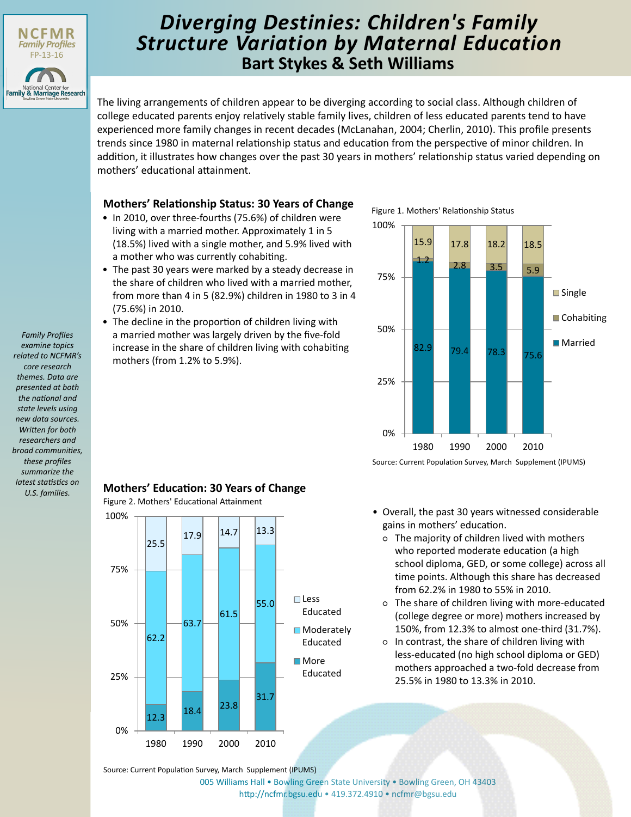

# **Bart Stykes & Seth Williams** *Diverging Destinies: Children's Family Structure Variation by Maternal Education*

The living arrangements of children appear to be diverging according to social class. Although children of college educated parents enjoy relatively stable family lives, children of less educated parents tend to have experienced more family changes in recent decades (McLanahan, 2004; Cherlin, 2010). This profile presents trends since 1980 in maternal relationship status and education from the perspective of minor children. In addition, it illustrates how changes over the past 30 years in mothers' relationship status varied depending on mothers' educational attainment.

## **Mothers' Relationship Status: 30 Years of Change**

- In 2010, over three-fourths (75.6%) of children were living with a married mother. Approximately 1 in 5 (18.5%) lived with a single mother, and 5.9% lived with a mother who was currently cohabiting.
- The past 30 years were marked by a steady decrease in the share of children who lived with a married mother, from more than 4 in 5 (82.9%) children in 1980 to 3 in 4 (75.6%) in 2010.

• The decline in the proportion of children living with a married mother was largely driven by the five-fold increase in the share of children living with cohabiting mothers (from 1.2% to 5.9%).

Figure 1. Mothers' Relationship Status



Source: Current Population Survey, March Supplement (IPUMS)

- Overall, the past 30 years witnessed considerable gains in mothers' education.
	- The majority of children lived with mothers who reported moderate education (a high school diploma, GED, or some college) across all time points. Although this share has decreased from 62.2% in 1980 to 55% in 2010.
	- The share of children living with more-educated (college degree or more) mothers increased by 150%, from 12.3% to almost one-third (31.7%).
	- In contrast, the share of children living with less-educated (no high school diploma or GED) mothers approached a two-fold decrease from 25.5% in 1980 to 13.3% in 2010.

*Family Profiles examine topics related to NCFMR's core research themes. Data are presented at both the national and state levels using new data sources. Written for both researchers and broad communities, these profiles summarize the latest statistics on U.S. families.*

## **Mothers' Education: 30 Years of Change**

Figure 2. Mothers' Educational Attainment



Source: Current Population Survey, March Supplement (IPUMS)

[005 Williams Hall • Bowling Green State University • Bowling Green, OH 43403](http://ncfmr.bgsu.edu) http://ncfmr.bgsu.edu • 419.372.4910 • ncfmr@bgsu.edu